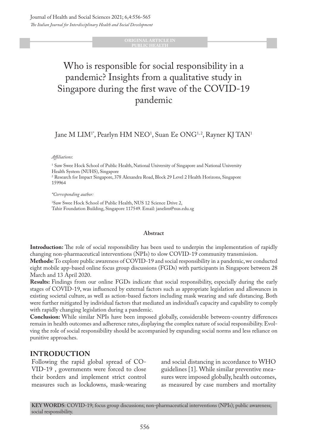#### **ORIGINAL ARTICLE IN PUBLIC HEALTH**

# Who is responsible for social responsibility in a pandemic? Insights from a qualitative study in Singapore during the first wave of the COVID-19 pandemic

# Jane M LIM<sup>1</sup>°, Pearlyn HM NEO<sup>1</sup>, Suan Ee ONG<sup>1,2</sup>, Rayner KJ TAN<sup>1</sup>

#### *Affiliations*:

<sup>1</sup> Saw Swee Hock School of Public Health, National University of Singapore and National University Health System (NUHS), Singapore

2 Research for Impact Singapore, 378 Alexandra Road, Block 29 Level 2 Health Horizons, Singapore 159964

#### *\*Corresponding author:*

1 Saw Swee Hock School of Public Health, NUS 12 Science Drive 2, Tahir Foundation Building, Singapore 117549. Email: janelim@nus.edu.sg

#### **Abstract**

**Introduction:** The role of social responsibility has been used to underpin the implementation of rapidly changing non-pharmaceutical interventions (NPIs) to slow COVID-19 community transmission.

**Methods:** To explore public awareness of COVID-19 and social responsibility in a pandemic, we conducted eight mobile app-based online focus group discussions (FGDs) with participants in Singapore between 28 March and 13 April 2020.

**Results:** Findings from our online FGDs indicate that social responsibility, especially during the early stages of COVID-19, was influenced by external factors such as appropriate legislation and allowances in existing societal culture, as well as action-based factors including mask wearing and safe distancing. Both were further mitigated by individual factors that mediated an individual's capacity and capability to comply with rapidly changing legislation during a pandemic.

**Conclusion:** While similar NPIs have been imposed globally, considerable between-country differences remain in health outcomes and adherence rates, displaying the complex nature of social responsibility. Evolving the role of social responsibility should be accompanied by expanding social norms and less reliance on punitive approaches.

#### **INTRODUCTION**

Following the rapid global spread of CO-VID-19 , governments were forced to close their borders and implement strict control measures such as lockdowns, mask-wearing

and social distancing in accordance to WHO guidelines [1]. While similar preventive measures were imposed globally, health outcomes, as measured by case numbers and mortality

**KEY WORDS**: COVID-19; focus group discussions; non-pharmaceutical interventions (NPIs); public awareness; social responsibility.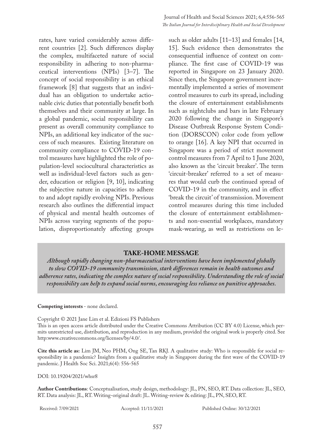rates, have varied considerably across different countries [2]. Such differences display the complex, multifaceted nature of social responsibility in adhering to non-pharmaceutical interventions (NPIs) [3–7]. The concept of social responsibility is an ethical framework [8] that suggests that an individual has an obligation to undertake actionable civic duties that potentially benefit both themselves and their community at large. In a global pandemic, social responsibility can present as overall community compliance to NPIs, an additional key indicator of the success of such measures. Existing literature on community compliance to COVID-19 control measures have highlighted the role of population-level sociocultural characteristics as well as individual-level factors such as gender, education or religion [9, 10], indicating the subjective nature in capacities to adhere to and adopt rapidly evolving NPIs. Previous research also outlines the differential impact of physical and mental health outcomes of NPIs across varying segments of the population, disproportionately affecting groups

such as older adults [11–13] and females [14, 15]. Such evidence then demonstrates the consequential influence of context on compliance. The first case of COVID-19 was reported in Singapore on 23 January 2020. Since then, the Singapore government incrementally implemented a series of movement control measures to curb its spread, including the closure of entertainment establishments such as nightclubs and bars in late February 2020 following the change in Singapore's Disease Outbreak Response System Condition (DORSCON) color code from yellow to orange [16]. A key NPI that occurred in Singapore was a period of strict movement control measures from 7 April to 1 June 2020, also known as the 'circuit breaker'. The term 'circuit-breaker' referred to a set of measures that would curb the continued spread of COVID-19 in the community, and in effect 'break the circuit' of transmission. Movement control measures during this time included the closure of entertainment establishments and non-essential workplaces, mandatory mask-wearing, as well as restrictions on le-

#### **TAKE-HOME MESSAGE**

*Although rapidly changing non-pharmaceutical interventions have been implemented globally to slow COVID-19 community transmission, stark differences remain in health outcomes and adherence rates, indicating the complex nature of social responsibility. Understanding the role of social responsibility can help to expand social norms, encouraging less reliance on punitive approaches.* 

#### **Competing interests** - none declared.

Copyright © 2021 Jane Lim et al. Edizioni FS Publishers This is an open access article distributed under the Creative Commons Attribution (CC BY 4.0) License, which permits unrestricted use, distribution, and reproduction in any medium, provided the original work is properly cited. See http:www.creativecommons.org/licenses/by/4.0/.

**Cite this article as:** Lim JM, Neo PHM, Ong SE, Tan RKJ. A qualitative study: Who is responsible for social responsibility in a pandemic? Insights from a qualitative study in Singapore during the first wave of the COVID-19 pandemic. J Health Soc Sci. 2021;6(4): 556-565

DOI: 10.19204/2021/whsr8

**Author Contributions**: Conceptualisation, study design, methodology: JL, PN, SEO, RT. Data collection: JL, SEO, RT. Data analysis: JL, RT. Writing-original draft: JL. Writing-review & editing: JL, PN, SEO, RT.

Received: 7/09/2021 Accepted: 11/11/2021 Published Online: 30/12/2021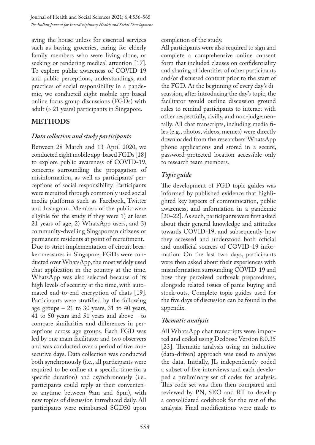aving the house unless for essential services such as buying groceries, caring for elderly family members who were living alone, or seeking or rendering medical attention [17]. To explore public awareness of COVID-19 and public perceptions, understandings, and practices of social responsibility in a pandemic, we conducted eight mobile app-based online focus group discussions (FGDs) with adult (> 21 years) participants in Singapore.

# **METHODS**

### *Data collection and study participants*

Between 28 March and 13 April 2020, we conducted eight mobile app-based FGDs [18] to explore public awareness of COVID-19, concerns surrounding the propagation of misinformation, as well as participants' perceptions of social responsibility. Participants were recruited through commonly used social media platforms such as Facebook, Twitter and Instagram. Members of the public were eligible for the study if they were 1) at least 21 years of age, 2) WhatsApp users, and 3) community-dwelling Singaporean citizens or permanent residents at point of recruitment. Due to strict implementation of circuit breaker measures in Singapore, FGDs were conducted over WhatsApp, the most widely used chat application in the country at the time. WhatsApp was also selected because of its high levels of security at the time, with automated end-to-end encryption of chats [19]. Participants were stratified by the following age groups  $-21$  to 30 years, 31 to 40 years, 41 to 50 years and 51 years and above – to compare similarities and differences in perceptions across age groups. Each FGD was led by one main facilitator and two observers and was conducted over a period of five consecutive days. Data collection was conducted both synchronously (i.e., all participants were required to be online at a specific time for a specific duration) and asynchronously (i.e., participants could reply at their convenience anytime between 9am and 6pm), with new topics of discussion introduced daily. All participants were reimbursed SGD50 upon

completion of the study.

All participants were also required to sign and complete a comprehensive online consent form that included clauses on confidentiality and sharing of identities of other participants and/or discussed content prior to the start of the FGD. At the beginning of every day's discussion, after introducing the day's topic, the facilitator would outline discussion ground rules to remind participants to interact with other respectfully, civilly, and non-judgementally. All chat transcripts, including media files (e.g., photos, videos, memes) were directly downloaded from the researchers' WhatsApp phone applications and stored in a secure, password-protected location accessible only to research team members.

# *Topic guide*

The development of FGD topic guides was informed by published evidence that highlighted key aspects of communication, public awareness, and information in a pandemic [20–22]. As such, participants were first asked about their general knowledge and attitudes towards COVID-19, and subsequently how they accessed and understood both official and unofficial sources of COVID-19 information. On the last two days, participants were then asked about their experiences with misinformation surrounding COVID-19 and how they perceived outbreak preparedness, alongside related issues of panic buying and stock-outs. Complete topic guides used for the five days of discussion can be found in the appendix.

# *Thematic analysis*

All WhatsApp chat transcripts were imported and coded using Dedoose Version 8.0.35 [23]. Thematic analysis using an inductive (data-driven) approach was used to analyse the data. Initially, JL independently coded a subset of five interviews and each developed a preliminary set of codes for analysis. This code set was then then compared and reviewed by PN, SEO and RT to develop a consolidated codebook for the rest of the analysis. Final modifications were made to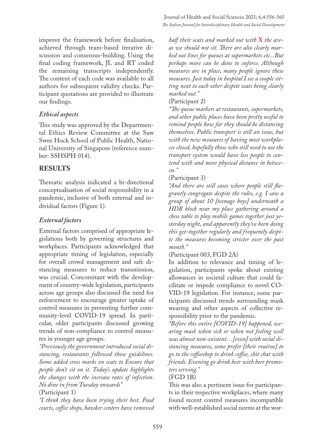improve the framework before finalisation, achieved through team-based iterative discussion and consensus-building. Using the final coding framework, JL and RT coded the remaining transcripts independently. The content of each code was available to all authors for subsequent validity checks. Participant quotations are provided to illustrate our findings.

### *Ethical aspects*

This study was approved by the Departmental Ethics Review Committee at the Saw Swee Hock School of Public Health, National University of Singapore (reference number: SSHSPH 014).

# **RESULTS**

Thematic analysis indicated a bi-directional conceptualisation of social responsibility in a pandemic, inclusive of both external and individual factors (Figure 1).

# *External factors*

External factors comprised of appropriate legislations both by governing structures and workplaces. Participants acknowledged that appropriate timing of legislation, especially for overall crowd management and safe distancing measures to reduce transmission, was crucial. Concomitant with the development of country-wide legislation, participants across age groups also discussed the need for enforcement to encourage greater uptake of control measures in preventing further community-level COVID-19 spread. In particular, older participants discussed growing trends of non-compliance to control measures in younger age groups.

*"Previously the government introduced social distancing, restaurants followed those guidelines. Some added cross marks on seats to Ensure that people don't sit on it. Today's update highlights the changes with the increase rates of infection. No dine in from Tuesday onwards"*

#### (Participant 1)

*"I think they have been trying their best. Food courts, coffee shops, hawker centers have removed* 

*half their seats and marked out with* **X** *the areas we should not sit. There are also clearly marked out lines for queues at supermarkets etc...But perhaps more can be done to enforce. Although measures are in place, many people ignore these measures. Just today in hospital I see a couple sitting next to each other despite seats being clearly marked out."*

#### (Participant 2)

*"The queue markers at restaurants, supermarkets, and other public places have been pretty useful to remind people how far they should be distancing themselves. Public transport is still an issue, but with the new measures of having most workplaces closed, hopefully those who still need to use the transport system would have less people to contend with and more physical distance in between."*

### (Participant 3)

*"And there are still cases where people still flagrantly congregate despite the rules, e.g. I saw a group of about 10 [teenage boys] underneath a HDB block near my place gathering around a chess table to play mobile games together just yesterday night, and apparently they've been doing this get-together regularly and frequently despite the measures becoming stricter over the past month."* 

#### (Participant 003, FGD 2A)

In addition to relevance and timing of legislation, participants spoke about existing allowances in societal culture that could facilitate or impede compliance to novel CO-VID-19 legislation. For instance, some participants discussed trends surrounding mask wearing and other aspects of collective responsibility prior to the pandemic.

*"Before this entire [COVID-19] happened, wearing mask when sick or when not feeling well was almost non-existent…[even] with social distancing measures, some prefer [their routine] to go to the coffeeshop to drink coffee, chit chat with friends. Evening go drink beer with beer promoters serving."* 

#### (FGD 1B)

This was also a pertinent issue for participants in their respective workplaces, where many found recent control measures incompatible with well-established social norms at the wor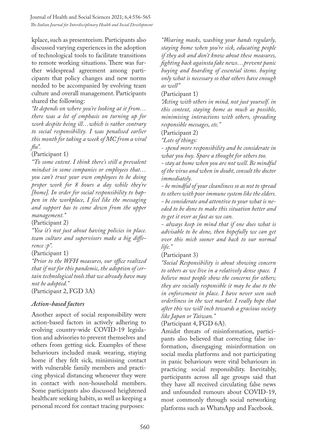kplace, such as presenteeism. Participants also discussed varying experiences in the adoption of technological tools to facilitate transitions to remote working situations. There was further widespread agreement among participants that policy changes and new norms needed to be accompanied by evolving team culture and overall management. Participants shared the following:

*"It depends on where you're looking at it from… there was a lot of emphasis on turning up for work despite being ill…which is rather contrary to social responsibility. I was penalised earlier this month for taking a week of MC from a viral flu".*

(Participant 1)

*"To some extent. I think there's still a prevalent mindset in some companies or employees that… you can't trust your own employees to be doing proper work for 8 hours a day while they're [home]. In order for social responsibility to happen in the workplace, I feel like the messaging and support has to come down from the upper management."*

(Participant 2)

*"Yea it's not just about having policies in place. team culture and supervisors make a big difference :p".*

(Participant 1)

*"Prior to the WFH measures, our office realized that if not for this pandemic, the adoption of certain technological tools that we already have may not be adopted."* 

(Participant 2, FGD 3A)

### *Action-based factors*

Another aspect of social responsibility were action-based factors in actively adhering to evolving country-wide COVID-19 legislation and advisories to prevent themselves and others from getting sick. Examples of these behaviours included mask wearing, staying home if they felt sick, minimising contact with vulnerable family members and practicing physical distancing whenever they were in contact with non-household members. Some participants also discussed heightened healthcare seeking habits, as well as keeping a personal record for contact tracing purposes:

*"Wearing masks, washing your hands regularly, staying home when you're sick, educating people if they ask and don't know about these measures, fighting back againsta fake news…prevent panic buying and hoarding of essential items. buying only what is necessary so that others have enough as well"*

(Participant 1)

*"Acting with others in mind, not just yourself. in this context, staying home as much as possible, minimising interactions with others, spreading responsible messages, etc."*

(Participant 2)

*"Lots of things:* 

*- spend more responsibility and be considerate in what you buy. Spare a thought for others too.*

*- stay at home when you are not well. Be mindful of the virus and when in doubt, consult the doctor immediately.* 

*- be mindful of your cleanliness so as not to spread to others with poor immune system like the elders. - be considerate and attentive to your what is needed to be done to make this situation better and to get it over as fast as we can.* 

*- always keep in mind that if one does what is advisable to be done, then hopefully we can get over this mich sooner and back to our normal life."*

(Participant 3)

*"Social Responsibility is about showing concern to others as we live in a relatively dense space. I believe most people show the concerns for others; they are socially responsible it may be due to the in enforcement in place. I have never seen such orderliness in the wet market. I really hope that after this we will inch towards a gracious society like Japan or Taiwan."*

(Participant 4, FGD 6A).

Amidst threats of misinformation, participants also believed that correcting false information, disengaging misinformation on social media platforms and not participating in panic behaviours were vital behaviours in practicing social responsibility. Inevitably, participants across all age groups said that they have all received circulating false news and unfounded rumours about COVID-19, most commonly through social networking platforms such as WhatsApp and Facebook.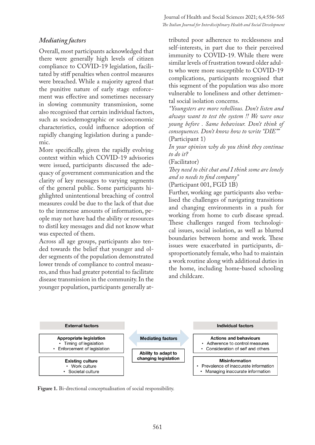## *Mediating factors*

Overall, most participants acknowledged that there were generally high levels of citizen compliance to COVID-19 legislation, facilitated by stiff penalties when control measures were breached. While a majority agreed that the punitive nature of early stage enforcement was effective and sometimes necessary in slowing community transmission, some also recognised that certain individual factors, such as sociodemographic or socioeconomic characteristics, could influence adoption of rapidly changing legislation during a pandemic.

More specifically, given the rapidly evolving context within which COVID-19 advisories were issued, participants discussed the adequacy of government communication and the clarity of key messages to varying segments of the general public. Some participants highlighted unintentional breaching of control measures could be due to the lack of that due to the immense amounts of information, people may not have had the ability or resources to distil key messages and did not know what was expected of them.

Across all age groups, participants also tended towards the belief that younger and older segments of the population demonstrated lower trends of compliance to control measures, and thus had greater potential to facilitate disease transmission in the community. In the younger population, participants generally attributed poor adherence to recklessness and self-interests, in part due to their perceived immunity to COVID-19. While there were similar levels of frustration toward older adults who were more susceptible to COVID-19 complications, participants recognised that this segment of the population was also more vulnerable to loneliness and other detrimental social isolation concerns.

*"Youngsters are more rebellious. Don't listen and always want to test the system !! We were once young before . Same behaviour. Don't think of consequences. Don't know how to write "DIE""* (Participant 1)

*In your opinion why do you think they continue to do it?*

(Facilitator)

*They need to chit chat and I think some are lonely and so needs to find company"* 

(Participant 001, FGD 1B)

Further, working age participants also verbalised the challenges of navigating transitions and changing environments in a push for working from home to curb disease spread. These challenges ranged from technological issues, social isolation, as well as blurred boundaries between home and work. These issues were exacerbated in participants, disproportionately female, who had to maintain a work routine along with additional duties in the home, including home-based schooling and childcare.



**Figure 1.** Bi-drectional conceptualisation of social responsibility.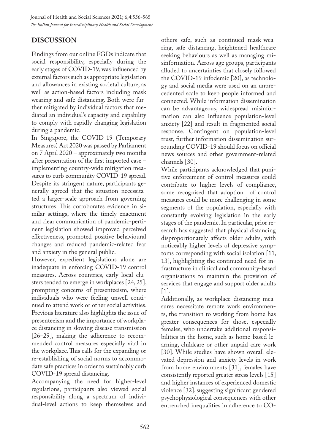# **DISCUSSION**

Findings from our online FGDs indicate that social responsibility, especially during the early stages of COVID-19, was influenced by external factors such as appropriate legislation and allowances in existing societal culture, as well as action-based factors including mask wearing and safe distancing. Both were further mitigated by individual factors that mediated an individual's capacity and capability to comply with rapidly changing legislation during a pandemic.

In Singapore, the COVID-19 (Temporary Measures) Act 2020 was passed by Parliament on 7 April 2020 – approximately two months after presentation of the first imported case – implementing country-wide mitigation measures to curb community COVID-19 spread. Despite its stringent nature, participants generally agreed that the situation necessitated a larger-scale approach from governing structures. This corroborates evidence in similar settings, where the timely enactment and clear communication of pandemic-pertinent legislation showed improved perceived effectiveness, promoted positive behavioural changes and reduced pandemic-related fear and anxiety in the general public.

However, expedient legislations alone are inadequate in enforcing COVID-19 control measures. Across countries, early local clusters tended to emerge in workplaces [24, 25], prompting concerns of presenteeism, where individuals who were feeling unwell continued to attend work or other social activities. Previous literature also highlights the issue of presenteeism and the importance of workplace distancing in slowing disease transmission [26–29], making the adherence to recommended control measures especially vital in the workplace. This calls for the expanding or re-establishing of social norms to accommodate safe practices in order to sustainably curb COVID-19 spread distancing.

Accompanying the need for higher-level regulations, participants also viewed social responsibility along a spectrum of individual-level actions to keep themselves and others safe, such as continued mask-wearing, safe distancing, heightened healthcare seeking behaviours as well as managing misinformation. Across age groups, participants alluded to uncertainties that closely followed the COVID-19 infodemic [20], as technology and social media were used on an unprecedented scale to keep people informed and connected. While information dissemination can be advantageous, widespread misinformation can also influence population-level anxiety [22] and result in fragmented social response. Contingent on population-level trust, further information dissemination surrounding COVID-19 should focus on official news sources and other government-related channels [30].

While participants acknowledged that punitive enforcement of control measures could contribute to higher levels of compliance, some recognised that adoption of control measures could be more challenging in some segments of the population, especially with constantly evolving legislation in the early stages of the pandemic. In particular, prior research has suggested that physical distancing disproportionately affects older adults, with noticeably higher levels of depressive symptoms corresponding with social isolation [11, 13], highlighting the continued need for infrastructure in clinical and community-based organisations to maintain the provision of services that engage and support older adults [1].

Additionally, as workplace distancing measures necessitate remote work environments, the transition to working from home has greater consequences for those, especially females, who undertake additional responsibilities in the home, such as home-based learning, childcare or other unpaid care work [30]. While studies have shown overall elevated depression and anxiety levels in work from home environments [31], females have consistently reported greater stress levels [15] and higher instances of experienced domestic violence [32], suggesting significant gendered psychophysiological consequences with other entrenched inequalities in adherence to CO-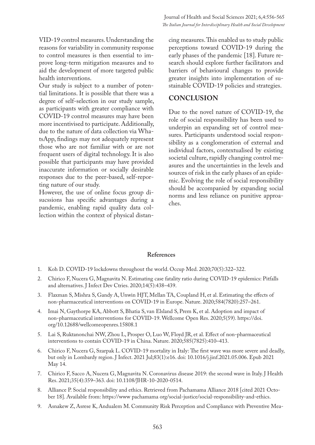VID-19 control measures. Understanding the reasons for variability in community response to control measures is then essential to improve long-term mitigation measures and to aid the development of more targeted public health interventions.

Our study is subject to a number of potential limitations. It is possible that there was a degree of self-selection in our study sample, as participants with greater compliance with COVID-19 control measures may have been more incentivised to participate. Additionally, due to the nature of data collection via WhatsApp, findings may not adequately represent those who are not familiar with or are not frequent users of digital technology. It is also possible that participants may have provided inaccurate information or socially desirable responses due to the peer-based, self-reporting nature of our study.

However, the use of online focus group disucssions has specific advantages during a pandemic, enabling rapid quality data collection within the context of physical distancing measures. This enabled us to study public perceptions toward COVID-19 during the early phases of the pandemic [18]. Future research should explore further facilitators and barriers of behavioural changes to provide greater insights into implementation of sustainable COVID-19 policies and strategies.

## **CONCLUSION**

Due to the novel nature of COVID-19, the role of social responsibility has been used to underpin an expanding set of control measures. Participants understood social responsibility as a conglomeration of external and individual factors, contextualised by existing societal culture, rapidly changing control measures and the uncertainties in the levels and sources of risk in the early phases of an epidemic. Evolving the role of social responsibility should be accompanied by expanding social norms and less reliance on punitive approaches.

#### **References**

- 1. Koh D. COVID-19 lockdowns throughout the world. Occup Med. 2020;70(5):322–322.
- 2. Chirico F, Nucera G, Magnavita N. Estimating case fatality ratio during COVID-19 epidemics: Pitfalls and alternatives. J Infect Dev Ctries. 2020;14(5):438–439.
- 3. Flaxman S, Mishra S, Gandy A, Unwin HJT, Mellan TA, Coupland H, et al. Estimating the effects of non-pharmaceutical interventions on COVID-19 in Europe. Nature. 2020;584(7820):257–261.
- 4. Imai N, Gaythorpe KA, Abbott S, Bhatia S, van Elsland S, Prem K, et al. Adoption and impact of non-pharmaceutical interventions for COVID-19. Wellcome Open Res. 2020;5(59). https://doi. org/10.12688/wellcomeopenres.15808.1
- 5. Lai S, Ruktanonchai NW, Zhou L, Prosper O, Luo W, Floyd JR, et al. Effect of non-pharmaceutical interventions to contain COVID-19 in China. Nature. 2020;585(7825):410–413.
- 6. Chirico F, Nucera G, Szarpak L. COVID-19 mortality in Italy: The first wave was more severe and deadly, but only in Lombardy region. J Infect. 2021 Jul;83(1):e16. doi: 10.1016/j.jinf.2021.05.006. Epub 2021 May 14.
- 7. Chirico F, Sacco A, Nucera G, Magnavita N. Coronavirus disease 2019: the second wave in Italy. J Health Res. 2021;35(4):359–363. doi: 10.1108/JHR-10-2020-0514.
- 8. Alliance P. Social responsibility and ethics. Retrieved from Pachamama Alliance 2018 [cited 2021 October 18]. Available from: https://www pachamama org/social-justice/social-responsibility-and-ethics.
- 9. Asnakew Z, Asrese K, Andualem M. Community Risk Perception and Compliance with Preventive Mea-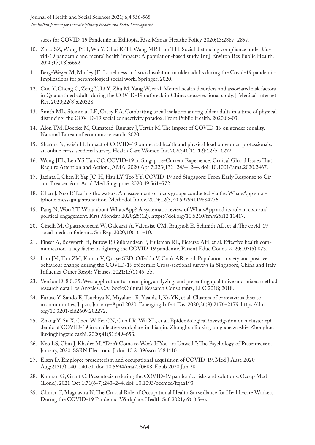sures for COVID-19 Pandemic in Ethiopia. Risk Manag Healthc Policy. 2020;13:2887–2897.

- 10. Zhao SZ, Wong JYH, Wu Y, Choi EPH, Wang MP, Lam TH. Social distancing compliance under Covid-19 pandemic and mental health impacts: A population-based study. Int J Environ Res Public Health. 2020;17(18):6692.
- 11. Berg-Weger M, Morley JE. Loneliness and social isolation in older adults during the Covid-19 pandemic: Implications for gerontological social work. Springer; 2020.
- 12. Guo Y, Cheng C, Zeng Y, Li Y, Zhu M, Yang W, et al. Mental health disorders and associated risk factors in Quarantined adults during the COVID-19 outbreak in China: cross-sectional study. J Medical Internet Res. 2020;22(8):e20328.
- 13. Smith ML, Steinman LE, Casey EA. Combatting social isolation among older adults in a time of physical distancing: the COVID-19 social connectivity paradox. Front Public Health. 2020;8:403.
- 14. Alon TM, Doepke M, Olmstead-Rumsey J, Tertilt M. The impact of COVID-19 on gender equality. National Bureau of economic research; 2020.
- 15. Sharma N, Vaish H. Impact of COVID–19 on mental health and physical load on women professionals: an online cross-sectional survey. Health Care Women Int. 2020;41(11-12):1255–1272.
- 16. Wong JEL, Leo YS, Tan CC. COVID-19 in Singapore-Current Experience: Critical Global Issues That Require Attention and Action. JAMA. 2020 Apr 7;323(13):1243–1244. doi: 10.1001/jama.2020.2467.
- 17. Jacinta I, Chen P, Yap JC-H, Hsu LY, Teo YY. COVID-19 and Singapore: From Early Response to Circuit Breaker. Ann Acad Med Singapore. 2020;49:561–572.
- 18. Chen J, Neo P. Texting the waters: An assessment of focus groups conducted via the WhatsApp smartphone messaging application. Methodol Innov. 2019;12(3):2059799119884276.
- 19. Pang N, Woo YT. What about WhatsApp? A systematic review of WhatsApp and its role in civic and political engagement. First Monday. 2020;25(12). https://doi.org/10.5210/fm.v25i12.10417.
- 20. Cinelli M, Quattrociocchi W, Galeazzi A, Valensise CM, Brugnoli E, Schmidt AL, et al. The covid-19 social media infodemic. Sci Rep. 2020;10(1):1–10.
- 21. Finset A, Bosworth H, Butow P, Gulbrandsen P, Hulsman RL, Pieterse AH, et al. Effective health communication–a key factor in fighting the COVID-19 pandemic. Patient Educ Couns. 2020;103(5):873.
- 22. Lim JM, Tun ZM, Kumar V, Quaye SED, Offeddu V, Cook AR, et al. Population anxiety and positive behaviour change during the COVID-19 epidemic: Cross-sectional surveys in Singapore, China and Italy. Influenza Other Respir Viruses. 2021;15(1):45–55.
- 23. Version D. 8.0. 35. Web application for managing, analyzing, and presenting qualitative and mixed method research data Los Angeles, CA: SocioCultural Research Consultants, LLC 2018; 2018.
- 24. Furuse Y, Sando E, Tsuchiya N, Miyahara R, Yasuda I, Ko YK, et al. Clusters of coronavirus disease in communities, Japan, January–April 2020. Emerging Infect Dis. 2020;26(9):2176–2179. https://doi. org/10.3201/eid2609.202272.
- 25. Zhang Y, Su X, Chen W, Fei CN, Guo LR, Wu XL, et al. Epidemiological investigation on a cluster epidemic of COVID-19 in a collective workplace in Tianjin. Zhonghua liu xing bing xue za zhi= Zhonghua liuxingbingxue zazhi. 2020;41(5):649–653.
- 26. Neo LS, Chin J, Khader M. "Don't Come to Work If You are Unwell!": The Psychology of Presenteeism. January, 2020. SSRN Electronic J. doi: 10.2139/ssrn.3584410.
- 27. Eisen D. Employee presenteeism and occupational acquisition of COVID-19. Med J Aust. 2020 Aug;213(3):140–140.e1. doi: 10.5694/mja2.50688. Epub 2020 Jun 28.
- 28. Kinman G, Grant C. Presenteeism during the COVID-19 pandemic: risks and solutions. Occup Med (Lond). 2021 Oct 1;71(6-7):243–244. doi: 10.1093/occmed/kqaa193.
- 29. Chirico F, Magnavita N. The Crucial Role of Occupational Health Surveillance for Health-care Workers During the COVID-19 Pandemic. Workplace Health Saf. 2021;69(1):5–6.